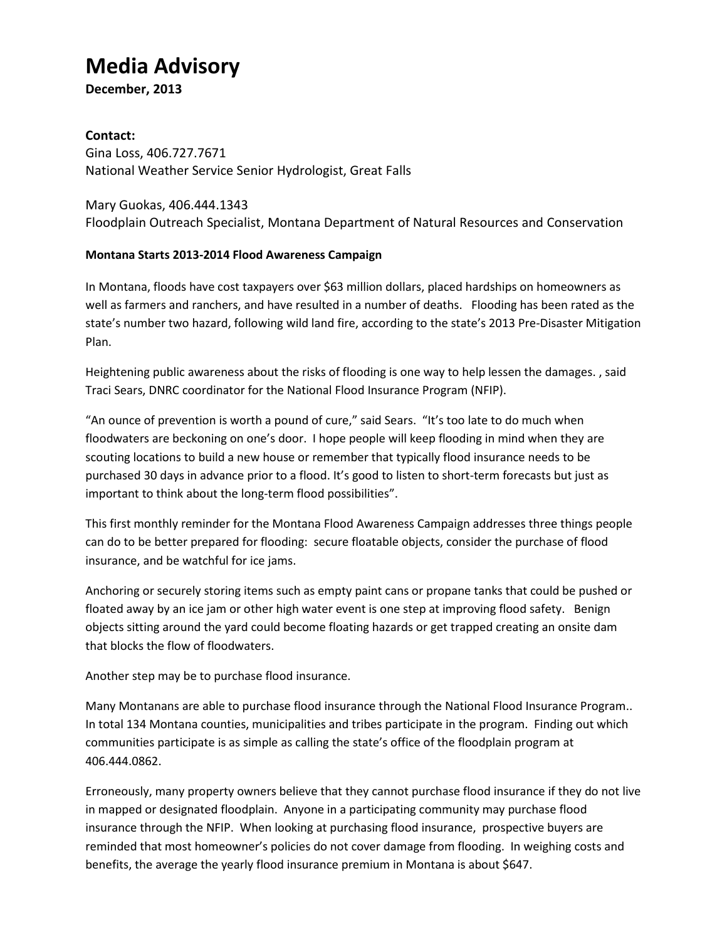## **Media Advisory**

**December, 2013**

## **Contact:**

Gina Loss, 406.727.7671 National Weather Service Senior Hydrologist, Great Falls

Mary Guokas, 406.444.1343 Floodplain Outreach Specialist, Montana Department of Natural Resources and Conservation

## **Montana Starts 2013-2014 Flood Awareness Campaign**

In Montana, floods have cost taxpayers over \$63 million dollars, placed hardships on homeowners as well as farmers and ranchers, and have resulted in a number of deaths. Flooding has been rated as the state's number two hazard, following wild land fire, according to the state's 2013 Pre-Disaster Mitigation Plan.

Heightening public awareness about the risks of flooding is one way to help lessen the damages. , said Traci Sears, DNRC coordinator for the National Flood Insurance Program (NFIP).

"An ounce of prevention is worth a pound of cure," said Sears. "It's too late to do much when floodwaters are beckoning on one's door. I hope people will keep flooding in mind when they are scouting locations to build a new house or remember that typically flood insurance needs to be purchased 30 days in advance prior to a flood. It's good to listen to short-term forecasts but just as important to think about the long-term flood possibilities".

This first monthly reminder for the Montana Flood Awareness Campaign addresses three things people can do to be better prepared for flooding: secure floatable objects, consider the purchase of flood insurance, and be watchful for ice jams.

Anchoring or securely storing items such as empty paint cans or propane tanks that could be pushed or floated away by an ice jam or other high water event is one step at improving flood safety. Benign objects sitting around the yard could become floating hazards or get trapped creating an onsite dam that blocks the flow of floodwaters.

Another step may be to purchase flood insurance.

Many Montanans are able to purchase flood insurance through the National Flood Insurance Program.. In total 134 Montana counties, municipalities and tribes participate in the program. Finding out which communities participate is as simple as calling the state's office of the floodplain program at 406.444.0862.

Erroneously, many property owners believe that they cannot purchase flood insurance if they do not live in mapped or designated floodplain. Anyone in a participating community may purchase flood insurance through the NFIP. When looking at purchasing flood insurance, prospective buyers are reminded that most homeowner's policies do not cover damage from flooding. In weighing costs and benefits, the average the yearly flood insurance premium in Montana is about \$647.